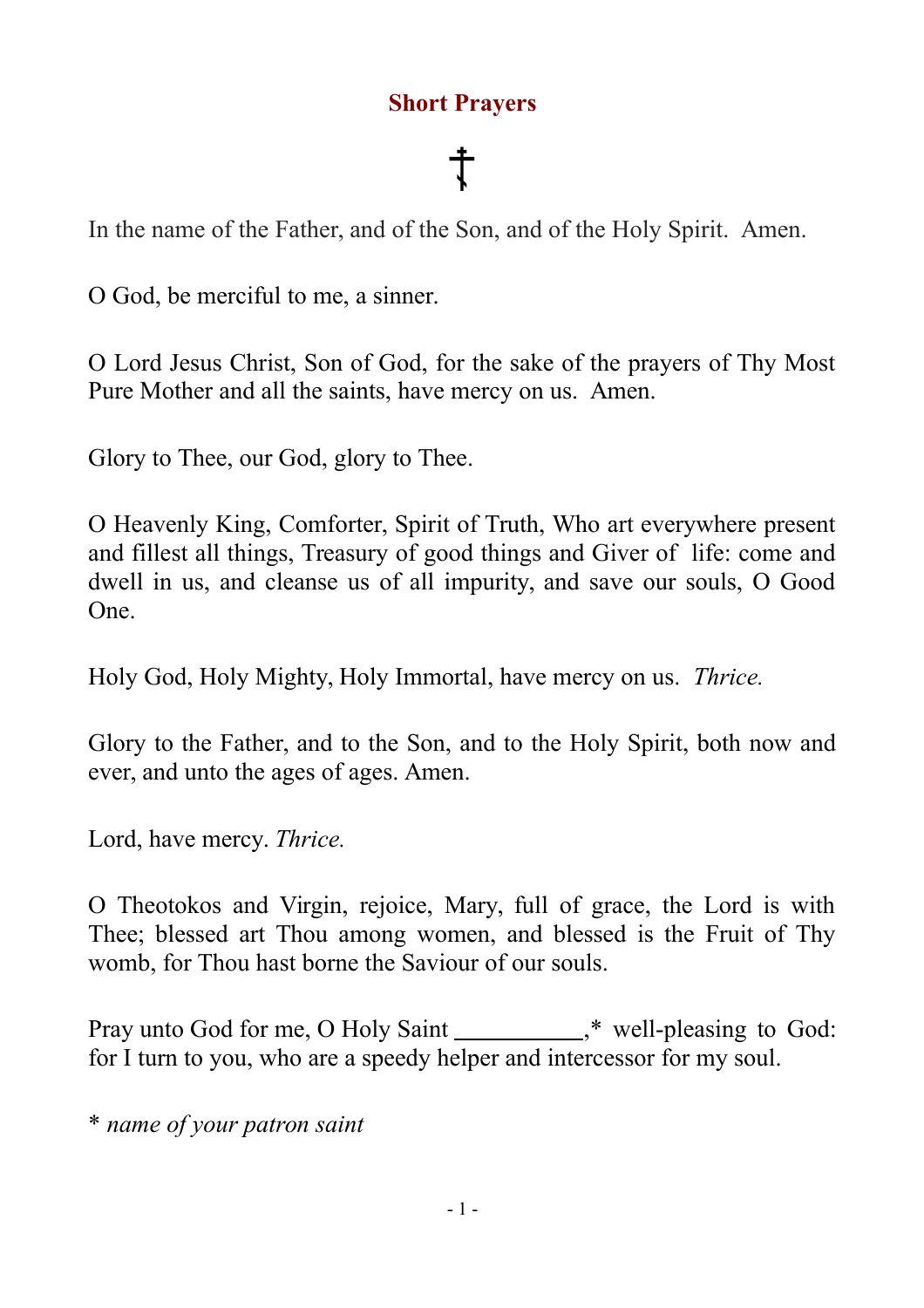# **Short Prayers**

In the name of the Father, and of the Son, and of the Holy Spirit. Amen.

O God, be merciful to me, a sinner.

O Lord Jesus Christ, Son of God, for the sake of the prayers of Thy Most Pure Mother and all the saints, have mercy on us. Amen.

Glory to Thee, our God, glory to Thee.

O Heavenly King, Comforter, Spirit of Truth, Who art everywhere present and fillest all things, Treasury of good things and Giver of life: come and dwell in us, and cleanse us of all impurity, and save our souls, O Good One.

Holy God, Holy Mighty, Holy Immortal, have mercy on us. *Thrice.*

Glory to the Father, and to the Son, and to the Holy Spirit, both now and ever, and unto the ages of ages. Amen.

Lord, have mercy. *Thrice.*

O Theotokos and Virgin, rejoice, Mary, full of grace, the Lord is with Thee; blessed art Thou among women, and blessed is the Fruit of Thy womb, for Thou hast borne the Saviour of our souls.

Pray unto God for me, O Holy Saint  $\ddot{\text{ }}$  well-pleasing to God: for I turn to you, who are a speedy helper and intercessor for my soul.

\* *name of your patron saint*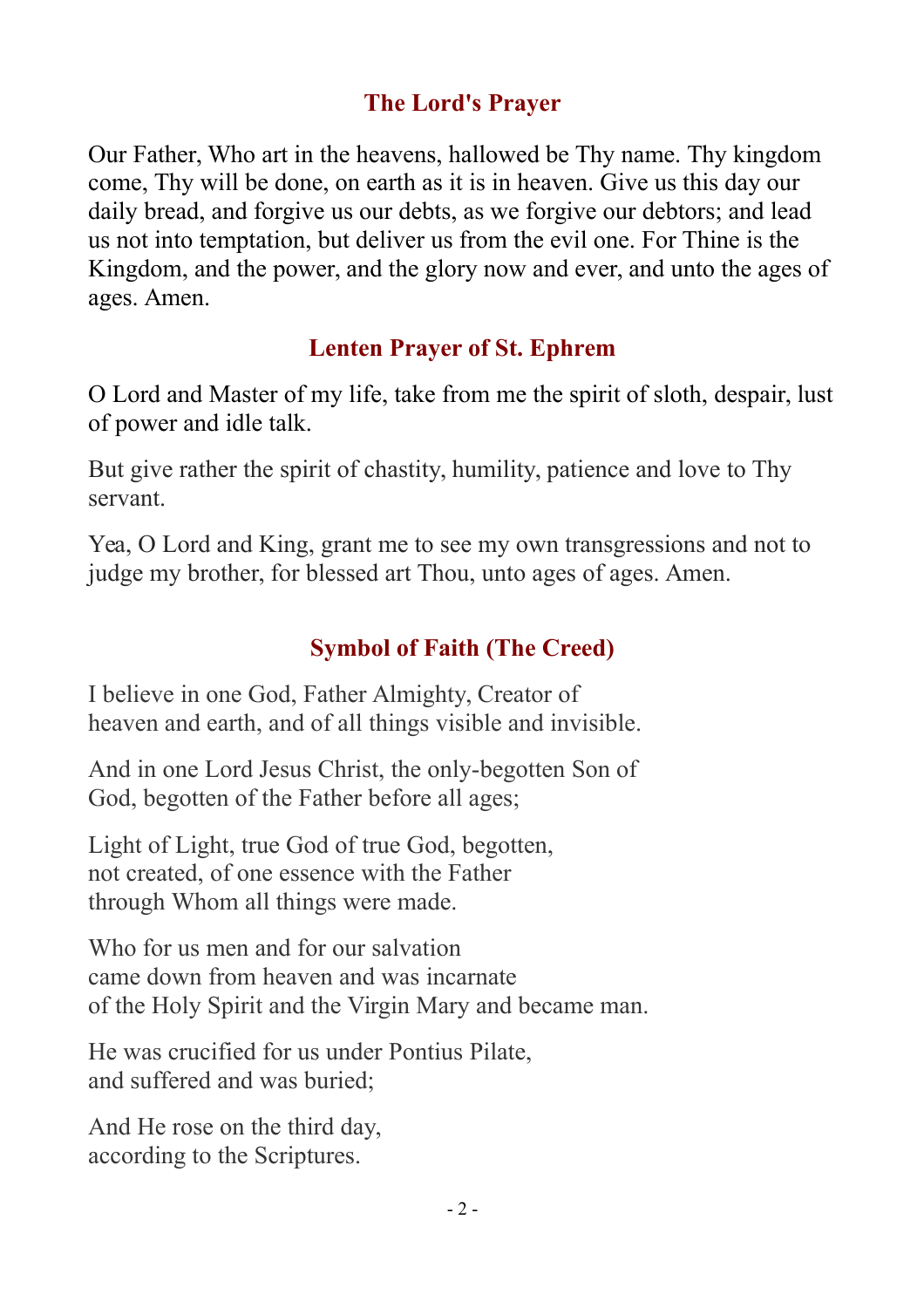## **The Lord's Prayer**

Our Father, Who art in the heavens, hallowed be Thy name. Thy kingdom come, Thy will be done, on earth as it is in heaven. Give us this day our daily bread, and forgive us our debts, as we forgive our debtors; and lead us not into temptation, but deliver us from the evil one. For Thine is the Kingdom, and the power, and the glory now and ever, and unto the ages of ages. Amen.

### **Lenten Prayer of St. Ephrem**

O Lord and Master of my life, take from me the spirit of sloth, despair, lust of power and idle talk.

But give rather the spirit of chastity, humility, patience and love to Thy servant.

Yea, O Lord and King, grant me to see my own transgressions and not to judge my brother, for blessed art Thou, unto ages of ages. Amen.

# **Symbol of Faith (The Creed)**

I believe in one God, Father Almighty, Creator of heaven and earth, and of all things visible and invisible.

And in one Lord Jesus Christ, the only-begotten Son of God, begotten of the Father before all ages;

Light of Light, true God of true God, begotten, not created, of one essence with the Father through Whom all things were made.

Who for us men and for our salvation came down from heaven and was incarnate of the Holy Spirit and the Virgin Mary and became man.

He was crucified for us under Pontius Pilate, and suffered and was buried;

And He rose on the third day, according to the Scriptures.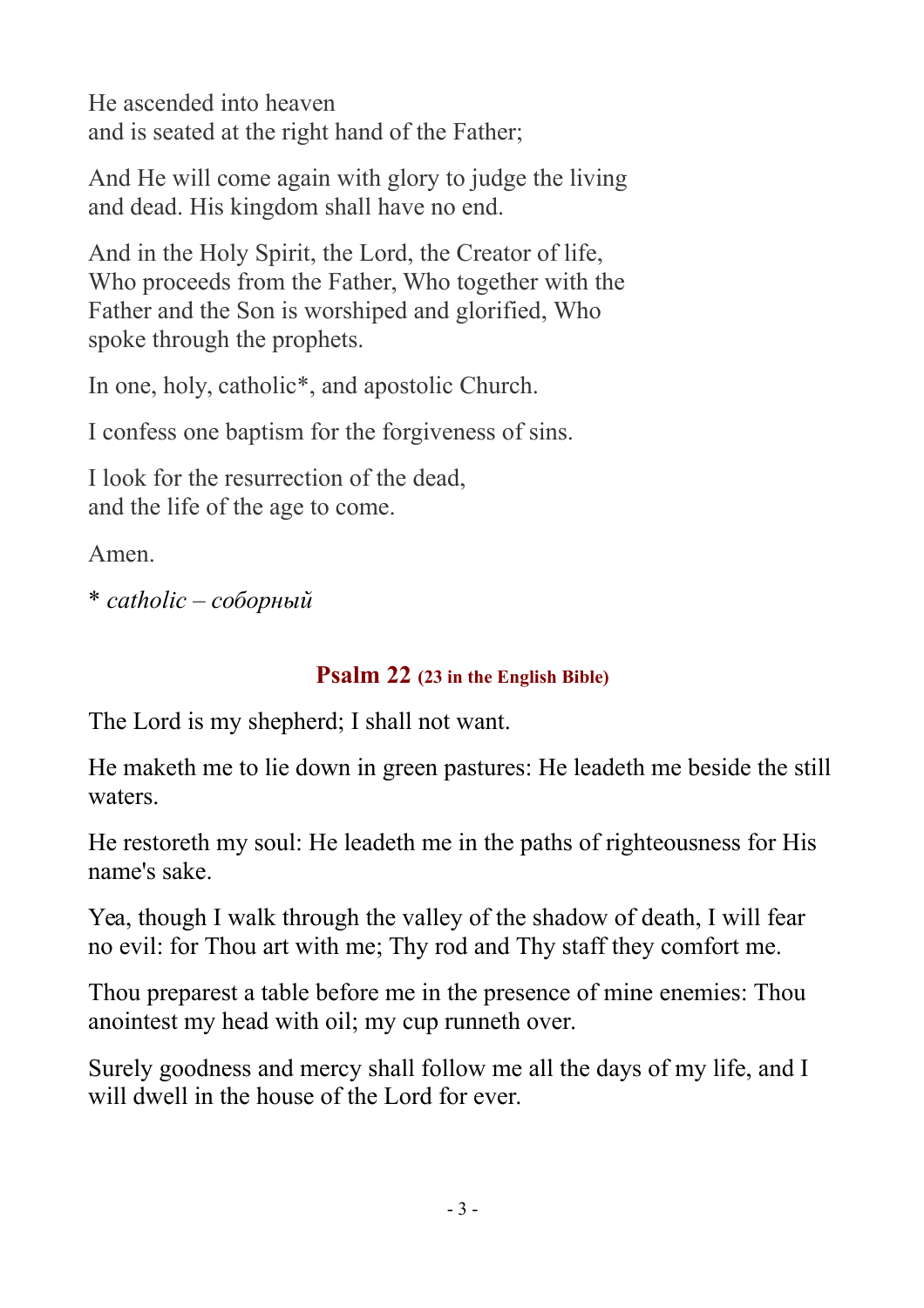He ascended into heaven and is seated at the right hand of the Father;

And He will come again with glory to judge the living and dead. His kingdom shall have no end.

And in the Holy Spirit, the Lord, the Creator of life, Who proceeds from the Father, Who together with the Father and the Son is worshiped and glorified, Who spoke through the prophets.

In one, holy, catholic\*, and apostolic Church.

I confess one baptism for the forgiveness of sins.

I look for the resurrection of the dead, and the life of the age to come.

Amen.

\* *catholic – соборный*

#### **Psalm 22 (23 in the English Bible)**

The Lord is my shepherd; I shall not want.

He maketh me to lie down in green pastures: He leadeth me beside the still waters.

He restoreth my soul: He leadeth me in the paths of righteousness for His name's sake.

Yea, though I walk through the valley of the shadow of death, I will fear no evil: for Thou art with me; Thy rod and Thy staff they comfort me.

Thou preparest a table before me in the presence of mine enemies: Thou anointest my head with oil; my cup runneth over.

Surely goodness and mercy shall follow me all the days of my life, and I will dwell in the house of the Lord for ever.